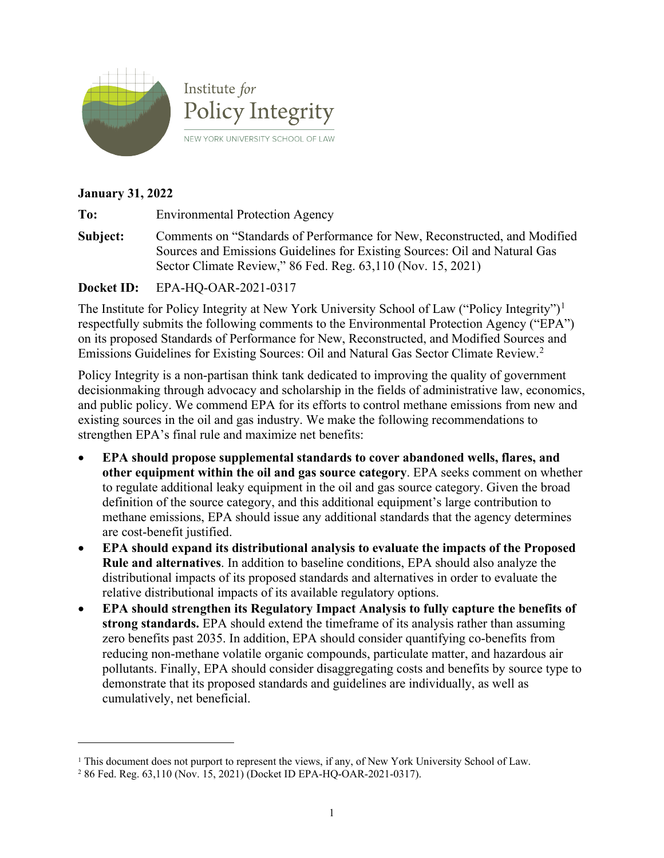

#### **January 31, 2022**

**To:** Environmental Protection Agency

**Subject:** Comments on "Standards of Performance for New, Reconstructed, and Modified Sources and Emissions Guidelines for Existing Sources: Oil and Natural Gas Sector Climate Review," 86 Fed. Reg. 63,110 (Nov. 15, 2021)

**Docket ID:** EPA-HQ-OAR-2021-0317

The Institute for Policy Integrity at New York University School of Law ("Policy Integrity")<sup>[1](#page-0-0)</sup> respectfully submits the following comments to the Environmental Protection Agency ("EPA") on its proposed Standards of Performance for New, Reconstructed, and Modified Sources and Emissions Guidelines for Existing Sources: Oil and Natural Gas Sector Climate Review. [2](#page-0-1)

Policy Integrity is a non-partisan think tank dedicated to improving the quality of government decisionmaking through advocacy and scholarship in the fields of administrative law, economics, and public policy. We commend EPA for its efforts to control methane emissions from new and existing sources in the oil and gas industry. We make the following recommendations to strengthen EPA's final rule and maximize net benefits:

- **EPA should propose supplemental standards to cover abandoned wells, flares, and other equipment within the oil and gas source category**. EPA seeks comment on whether to regulate additional leaky equipment in the oil and gas source category. Given the broad definition of the source category, and this additional equipment's large contribution to methane emissions, EPA should issue any additional standards that the agency determines are cost-benefit justified.
- **EPA should expand its distributional analysis to evaluate the impacts of the Proposed Rule and alternatives**. In addition to baseline conditions, EPA should also analyze the distributional impacts of its proposed standards and alternatives in order to evaluate the relative distributional impacts of its available regulatory options.
- **EPA should strengthen its Regulatory Impact Analysis to fully capture the benefits of strong standards.** EPA should extend the timeframe of its analysis rather than assuming zero benefits past 2035. In addition, EPA should consider quantifying co-benefits from reducing non-methane volatile organic compounds, particulate matter, and hazardous air pollutants. Finally, EPA should consider disaggregating costs and benefits by source type to demonstrate that its proposed standards and guidelines are individually, as well as cumulatively, net beneficial.

<span id="page-0-0"></span><sup>1</sup> This document does not purport to represent the views, if any, of New York University School of Law.

<span id="page-0-1"></span><sup>2</sup> 86 Fed. Reg. 63,110 (Nov. 15, 2021) (Docket ID EPA-HQ-OAR-2021-0317).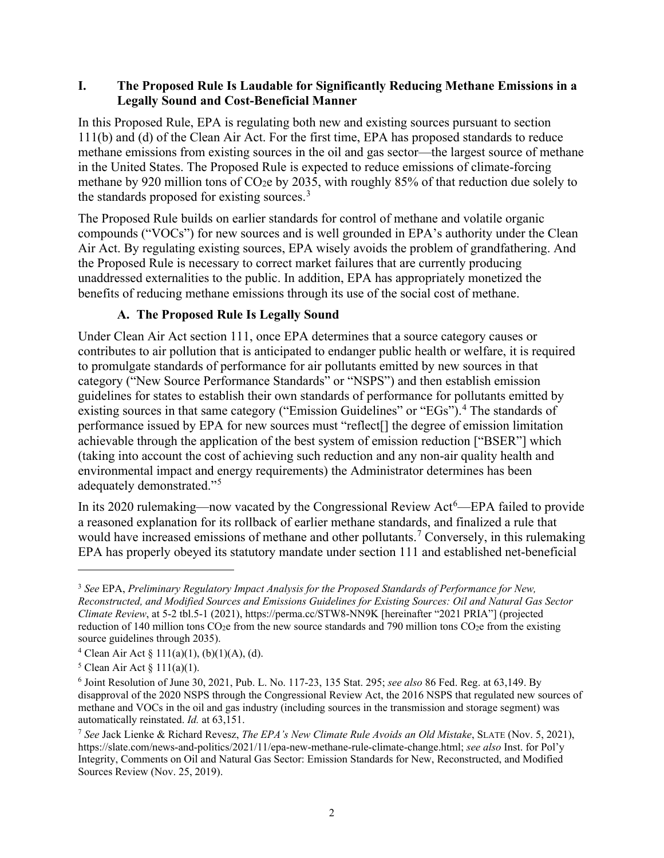#### **I. The Proposed Rule Is Laudable for Significantly Reducing Methane Emissions in a Legally Sound and Cost-Beneficial Manner**

In this Proposed Rule, EPA is regulating both new and existing sources pursuant to section 111(b) and (d) of the Clean Air Act. For the first time, EPA has proposed standards to reduce methane emissions from existing sources in the oil and gas sector—the largest source of methane in the United States. The Proposed Rule is expected to reduce emissions of climate-forcing methane by 920 million tons of CO2e by 2035, with roughly 85% of that reduction due solely to the standards proposed for existing sources.<sup>[3](#page-1-0)</sup>

The Proposed Rule builds on earlier standards for control of methane and volatile organic compounds ("VOCs") for new sources and is well grounded in EPA's authority under the Clean Air Act. By regulating existing sources, EPA wisely avoids the problem of grandfathering. And the Proposed Rule is necessary to correct market failures that are currently producing unaddressed externalities to the public. In addition, EPA has appropriately monetized the benefits of reducing methane emissions through its use of the social cost of methane.

## <span id="page-1-5"></span>**A. The Proposed Rule Is Legally Sound**

Under Clean Air Act section 111, once EPA determines that a source category causes or contributes to air pollution that is anticipated to endanger public health or welfare, it is required to promulgate standards of performance for air pollutants emitted by new sources in that category ("New Source Performance Standards" or "NSPS") and then establish emission guidelines for states to establish their own standards of performance for pollutants emitted by existing sources in that same category ("Emission Guidelines" or "EGs").<sup>[4](#page-1-1)</sup> The standards of performance issued by EPA for new sources must "reflect[] the degree of emission limitation achievable through the application of the best system of emission reduction ["BSER"] which (taking into account the cost of achieving such reduction and any non-air quality health and environmental impact and energy requirements) the Administrator determines has been adequately demonstrated."[5](#page-1-2)

In its 2020 rulemaking—now vacated by the Congressional Review Act<sup>[6](#page-1-3)</sup>—EPA failed to provide a reasoned explanation for its rollback of earlier methane standards, and finalized a rule that would have increased emissions of methane and other pollutants.<sup>[7](#page-1-4)</sup> Conversely, in this rulemaking EPA has properly obeyed its statutory mandate under section 111 and established net-beneficial

<span id="page-1-0"></span><sup>3</sup> *See* EPA, *Preliminary Regulatory Impact Analysis for the Proposed Standards of Performance for New, Reconstructed, and Modified Sources and Emissions Guidelines for Existing Sources: Oil and Natural Gas Sector Climate Review*, at 5-2 tbl.5-1 (2021), https://perma.cc/STW8-NN9K [hereinafter "2021 PRIA"] (projected reduction of 140 million tons  $CO<sub>2</sub>e$  from the new source standards and 790 million tons  $CO<sub>2</sub>e$  from the existing source guidelines through 2035).

<span id="page-1-1"></span><sup>&</sup>lt;sup>4</sup> Clean Air Act § 111(a)(1), (b)(1)(A), (d).

<span id="page-1-2"></span> $5$  Clean Air Act  $\S 111(a)(1)$ .

<span id="page-1-3"></span><sup>6</sup> Joint Resolution of June 30, 2021, Pub. L. No. 117-23, 135 Stat. 295; *see also* 86 Fed. Reg. at 63,149. By disapproval of the 2020 NSPS through the Congressional Review Act, the 2016 NSPS that regulated new sources of methane and VOCs in the oil and gas industry (including sources in the transmission and storage segment) was automatically reinstated. *Id.* at 63,151.

<span id="page-1-4"></span><sup>7</sup> *See* Jack Lienke & Richard Revesz, *The EPA's New Climate Rule Avoids an Old Mistake*, SLATE (Nov. 5, 2021), https://slate.com/news-and-politics/2021/11/epa-new-methane-rule-climate-change.html; *see also* Inst. for Pol'y Integrity, Comments on Oil and Natural Gas Sector: Emission Standards for New, Reconstructed, and Modified Sources Review (Nov. 25, 2019).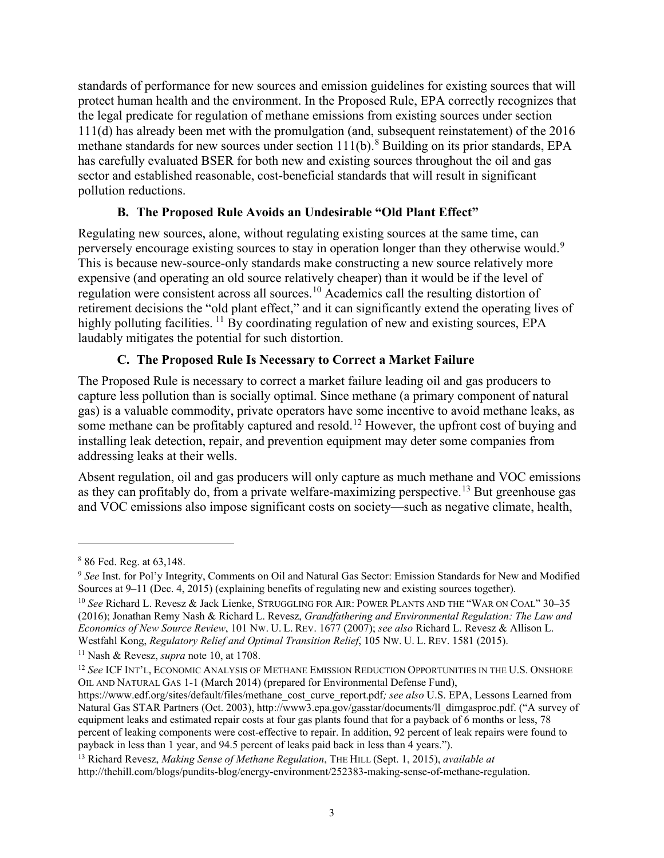standards of performance for new sources and emission guidelines for existing sources that will protect human health and the environment. In the Proposed Rule, EPA correctly recognizes that the legal predicate for regulation of methane emissions from existing sources under section 111(d) has already been met with the promulgation (and, subsequent reinstatement) of the 2016 methane standards for new sources under section  $111(b)$ .<sup>[8](#page-2-1)</sup> Building on its prior standards, EPA has carefully evaluated BSER for both new and existing sources throughout the oil and gas sector and established reasonable, cost-beneficial standards that will result in significant pollution reductions.

## **B. The Proposed Rule Avoids an Undesirable "Old Plant Effect"**

Regulating new sources, alone, without regulating existing sources at the same time, can perversely encourage existing sources to stay in operation longer than they otherwise would.<sup>[9](#page-2-2)</sup> This is because new-source-only standards make constructing a new source relatively more expensive (and operating an old source relatively cheaper) than it would be if the level of regulation were consistent across all sources.<sup>[10](#page-2-3)</sup> Academics call the resulting distortion of retirement decisions the "old plant effect," and it can significantly extend the operating lives of highly polluting facilities.  $^{11}$  $^{11}$  $^{11}$  By coordinating regulation of new and existing sources, EPA laudably mitigates the potential for such distortion.

## <span id="page-2-0"></span>**C. The Proposed Rule Is Necessary to Correct a Market Failure**

The Proposed Rule is necessary to correct a market failure leading oil and gas producers to capture less pollution than is socially optimal. Since methane (a primary component of natural gas) is a valuable commodity, private operators have some incentive to avoid methane leaks, as some methane can be profitably captured and resold.<sup>[12](#page-2-5)</sup> However, the upfront cost of buying and installing leak detection, repair, and prevention equipment may deter some companies from addressing leaks at their wells.

Absent regulation, oil and gas producers will only capture as much methane and VOC emissions as they can profitably do, from a private welfare-maximizing perspective.<sup>[13](#page-2-6)</sup> But greenhouse gas and VOC emissions also impose significant costs on society—such as negative climate, health,

<span id="page-2-1"></span><sup>8</sup> 86 Fed. Reg. at 63,148.

<span id="page-2-2"></span><sup>&</sup>lt;sup>9</sup> See Inst. for Pol'y Integrity, Comments on Oil and Natural Gas Sector: Emission Standards for New and Modified Sources at 9–11 (Dec. 4, 2015) (explaining benefits of regulating new and existing sources together).

<span id="page-2-3"></span><sup>10</sup> *See* Richard L. Revesz & Jack Lienke, STRUGGLING FOR AIR: POWER PLANTS AND THE "WAR ON COAL" 30–35 (2016); Jonathan Remy Nash & Richard L. Revesz, *Grandfathering and Environmental Regulation: The Law and Economics of New Source Review*, 101 NW. U. L. REV. 1677 (2007); *see also* Richard L. Revesz & Allison L. Westfahl Kong, *Regulatory Relief and Optimal Transition Relief*, 105 NW. U. L. REV. 1581 (2015).

<span id="page-2-4"></span><sup>11</sup> Nash & Revesz, *supra* note [10,](#page-2-0) at 1708.

<span id="page-2-5"></span><sup>12</sup> *See* ICF INT'L, ECONOMIC ANALYSIS OF METHANE EMISSION REDUCTION OPPORTUNITIES IN THE U.S. ONSHORE OIL AND NATURAL GAS 1-1 (March 2014) (prepared for Environmental Defense Fund),

https://www.edf.org/sites/default/files/methane\_cost\_curve\_report.pdf*; see also* U.S. EPA, Lessons Learned from Natural Gas STAR Partners (Oct. 2003), http://www3.epa.gov/gasstar/documents/ll\_dimgasproc.pdf. ("A survey of equipment leaks and estimated repair costs at four gas plants found that for a payback of 6 months or less, 78 percent of leaking components were cost-effective to repair. In addition, 92 percent of leak repairs were found to payback in less than 1 year, and 94.5 percent of leaks paid back in less than 4 years.").

<span id="page-2-6"></span><sup>13</sup> Richard Revesz, *Making Sense of Methane Regulation*, THE HILL (Sept. 1, 2015), *available at* http://thehill.com/blogs/pundits-blog/energy-environment/252383-making-sense-of-methane-regulation.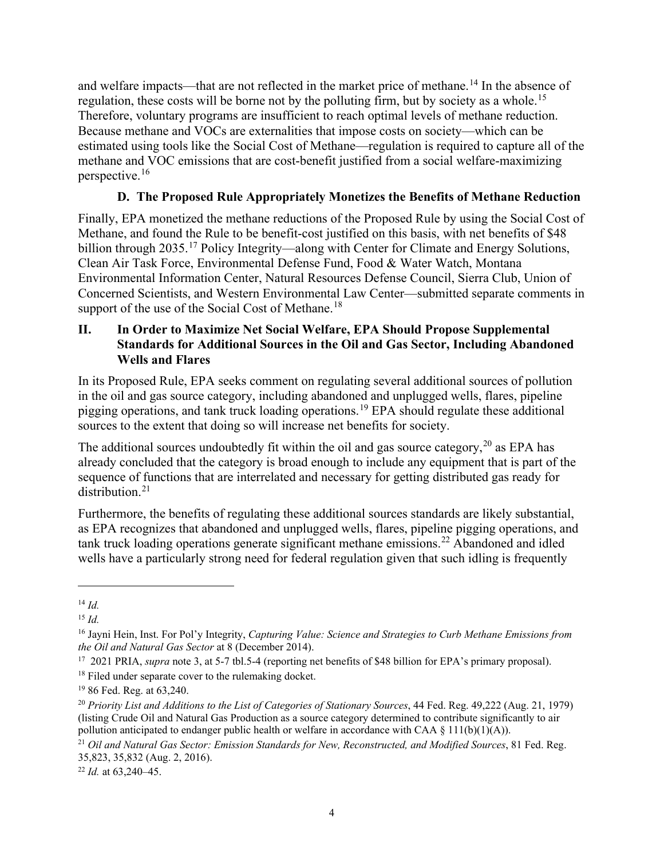and welfare impacts—that are not reflected in the market price of methane.<sup>[14](#page-3-0)</sup> In the absence of regulation, these costs will be borne not by the polluting firm, but by society as a whole.<sup>[15](#page-3-1)</sup> Therefore, voluntary programs are insufficient to reach optimal levels of methane reduction. Because methane and VOCs are externalities that impose costs on society—which can be estimated using tools like the Social Cost of Methane—regulation is required to capture all of the methane and VOC emissions that are cost-benefit justified from a social welfare-maximizing perspective.[16](#page-3-2)

# **D. The Proposed Rule Appropriately Monetizes the Benefits of Methane Reduction**

Finally, EPA monetized the methane reductions of the Proposed Rule by using the Social Cost of Methane, and found the Rule to be benefit-cost justified on this basis, with net benefits of \$48 billion through 2035.<sup>[17](#page-3-3)</sup> Policy Integrity—along with Center for Climate and Energy Solutions, Clean Air Task Force, Environmental Defense Fund, Food & Water Watch, Montana Environmental Information Center, Natural Resources Defense Council, Sierra Club, Union of Concerned Scientists, and Western Environmental Law Center—submitted separate comments in support of the use of the Social Cost of Methane.<sup>[18](#page-3-4)</sup>

## **II. In Order to Maximize Net Social Welfare, EPA Should Propose Supplemental Standards for Additional Sources in the Oil and Gas Sector, Including Abandoned Wells and Flares**

In its Proposed Rule, EPA seeks comment on regulating several additional sources of pollution in the oil and gas source category, including abandoned and unplugged wells, flares, pipeline pigging operations, and tank truck loading operations.<sup>[19](#page-3-5)</sup> EPA should regulate these additional sources to the extent that doing so will increase net benefits for society.

The additional sources undoubtedly fit within the oil and gas source category,  $^{20}$  $^{20}$  $^{20}$  as EPA has already concluded that the category is broad enough to include any equipment that is part of the sequence of functions that are interrelated and necessary for getting distributed gas ready for distribution. [21](#page-3-7)

Furthermore, the benefits of regulating these additional sources standards are likely substantial, as EPA recognizes that abandoned and unplugged wells, flares, pipeline pigging operations, and tank truck loading operations generate significant methane emissions.<sup>[22](#page-3-8)</sup> Abandoned and idled wells have a particularly strong need for federal regulation given that such idling is frequently

<span id="page-3-0"></span><sup>14</sup> *Id.*

<span id="page-3-1"></span><sup>15</sup> *Id.*

<span id="page-3-2"></span><sup>&</sup>lt;sup>16</sup> Jayni Hein, Inst. For Pol'y Integrity, *Capturing Value: Science and Strategies to Curb Methane Emissions from the Oil and Natural Gas Sector at 8 (December 2014).* 

<span id="page-3-3"></span><sup>&</sup>lt;sup>17</sup> 2021 PRIA, *supra* note 3, at 5-7 tbl.5-4 (reporting net benefits of \$48 billion for EPA's primary proposal).

<span id="page-3-4"></span><sup>&</sup>lt;sup>18</sup> Filed under separate cover to the rulemaking docket.

<span id="page-3-5"></span><sup>19</sup> 86 Fed. Reg. at 63,240.

<span id="page-3-6"></span><sup>20</sup> *Priority List and Additions to the List of Categories of Stationary Sources*, 44 Fed. Reg. 49,222 (Aug. 21, 1979) (listing Crude Oil and Natural Gas Production as a source category determined to contribute significantly to air pollution anticipated to endanger public health or welfare in accordance with CAA § 111(b)(1)(A)).

<span id="page-3-7"></span><sup>21</sup> *Oil and Natural Gas Sector: Emission Standards for New, Reconstructed, and Modified Sources*, 81 Fed. Reg. 35,823, 35,832 (Aug. 2, 2016).

<span id="page-3-8"></span><sup>22</sup> *Id.* at 63,240–45.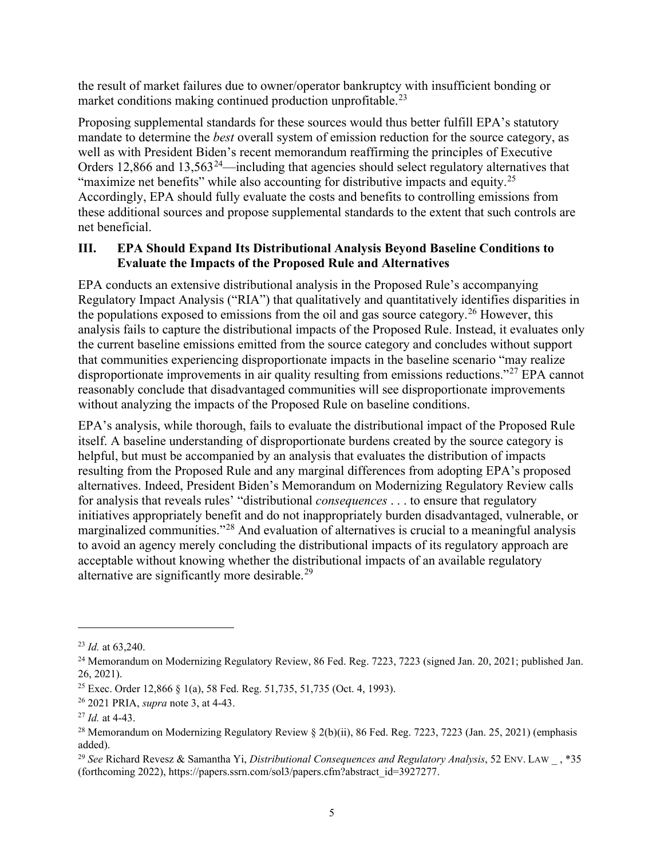the result of market failures due to owner/operator bankruptcy with insufficient bonding or market conditions making continued production unprofitable.<sup>[23](#page-4-0)</sup>

Proposing supplemental standards for these sources would thus better fulfill EPA's statutory mandate to determine the *best* overall system of emission reduction for the source category, as well as with President Biden's recent memorandum reaffirming the principles of Executive Orders 12,866 and 13,563<sup>24</sup>—including that agencies should select regulatory alternatives that "maximize net benefits" while also accounting for distributive impacts and equity.<sup>[25](#page-4-2)</sup> Accordingly, EPA should fully evaluate the costs and benefits to controlling emissions from these additional sources and propose supplemental standards to the extent that such controls are net beneficial.

#### **III. EPA Should Expand Its Distributional Analysis Beyond Baseline Conditions to Evaluate the Impacts of the Proposed Rule and Alternatives**

EPA conducts an extensive distributional analysis in the Proposed Rule's accompanying Regulatory Impact Analysis ("RIA") that qualitatively and quantitatively identifies disparities in the populations exposed to emissions from the oil and gas source category.<sup>[26](#page-4-3)</sup> However, this analysis fails to capture the distributional impacts of the Proposed Rule. Instead, it evaluates only the current baseline emissions emitted from the source category and concludes without support that communities experiencing disproportionate impacts in the baseline scenario "may realize disproportionate improvements in air quality resulting from emissions reductions."[27](#page-4-4) EPA cannot reasonably conclude that disadvantaged communities will see disproportionate improvements without analyzing the impacts of the Proposed Rule on baseline conditions.

EPA's analysis, while thorough, fails to evaluate the distributional impact of the Proposed Rule itself. A baseline understanding of disproportionate burdens created by the source category is helpful, but must be accompanied by an analysis that evaluates the distribution of impacts resulting from the Proposed Rule and any marginal differences from adopting EPA's proposed alternatives. Indeed, President Biden's Memorandum on Modernizing Regulatory Review calls for analysis that reveals rules' "distributional *consequences* . . . to ensure that regulatory initiatives appropriately benefit and do not inappropriately burden disadvantaged, vulnerable, or marginalized communities."<sup>[28](#page-4-5)</sup> And evaluation of alternatives is crucial to a meaningful analysis to avoid an agency merely concluding the distributional impacts of its regulatory approach are acceptable without knowing whether the distributional impacts of an available regulatory alternative are significantly more desirable.<sup>[29](#page-4-6)</sup>

<span id="page-4-0"></span><sup>23</sup> *Id.* at 63,240.

<span id="page-4-1"></span><sup>&</sup>lt;sup>24</sup> Memorandum on Modernizing Regulatory Review, 86 Fed. Reg. 7223, 7223 (signed Jan. 20, 2021; published Jan. 26, 2021).

<span id="page-4-2"></span><sup>25</sup> Exec. Order 12,866 § 1(a), 58 Fed. Reg. 51,735, 51,735 (Oct. 4, 1993).

<span id="page-4-3"></span><sup>26</sup> 2021 PRIA, *supra* note [3,](#page-1-5) at 4-43.

<span id="page-4-4"></span><sup>27</sup> *Id.* at 4-43.

<span id="page-4-5"></span><sup>&</sup>lt;sup>28</sup> Memorandum on Modernizing Regulatory Review  $\S$  2(b)(ii), 86 Fed. Reg. 7223, 7223 (Jan. 25, 2021) (emphasis added).

<span id="page-4-6"></span><sup>29</sup> *See* Richard Revesz & Samantha Yi, *Distributional Consequences and Regulatory Analysis*, 52 ENV. LAW \_ , \*35 (forthcoming 2022), https://papers.ssrn.com/sol3/papers.cfm?abstract\_id=3927277.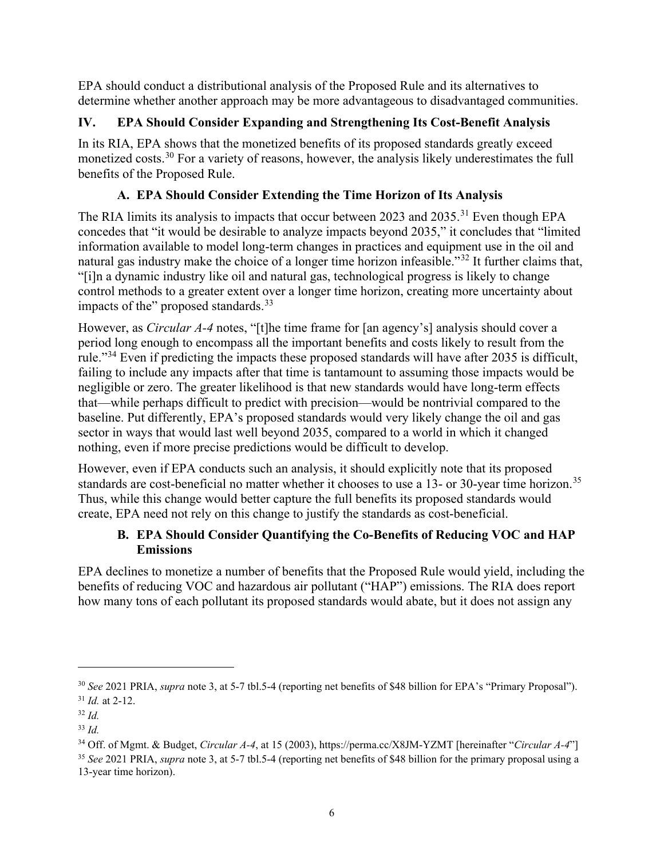EPA should conduct a distributional analysis of the Proposed Rule and its alternatives to determine whether another approach may be more advantageous to disadvantaged communities.

# **IV. EPA Should Consider Expanding and Strengthening Its Cost-Benefit Analysis**

In its RIA, EPA shows that the monetized benefits of its proposed standards greatly exceed monetized costs.<sup>[30](#page-5-0)</sup> For a variety of reasons, however, the analysis likely underestimates the full benefits of the Proposed Rule.

# **A. EPA Should Consider Extending the Time Horizon of Its Analysis**

The RIA limits its analysis to impacts that occur between 2023 and 2035.<sup>[31](#page-5-1)</sup> Even though EPA concedes that "it would be desirable to analyze impacts beyond 2035," it concludes that "limited information available to model long-term changes in practices and equipment use in the oil and natural gas industry make the choice of a longer time horizon infeasible."<sup>[32](#page-5-2)</sup> It further claims that, "[i]n a dynamic industry like oil and natural gas, technological progress is likely to change control methods to a greater extent over a longer time horizon, creating more uncertainty about impacts of the" proposed standards.<sup>[33](#page-5-3)</sup>

<span id="page-5-6"></span>However, as *Circular A-4* notes, "[t]he time frame for [an agency's] analysis should cover a period long enough to encompass all the important benefits and costs likely to result from the rule."<sup>[34](#page-5-4)</sup> Even if predicting the impacts these proposed standards will have after 2035 is difficult, failing to include any impacts after that time is tantamount to assuming those impacts would be negligible or zero. The greater likelihood is that new standards would have long-term effects that—while perhaps difficult to predict with precision—would be nontrivial compared to the baseline. Put differently, EPA's proposed standards would very likely change the oil and gas sector in ways that would last well beyond 2035, compared to a world in which it changed nothing, even if more precise predictions would be difficult to develop.

However, even if EPA conducts such an analysis, it should explicitly note that its proposed standards are cost-beneficial no matter whether it chooses to use a 13- or 30-year time horizon.<sup>[35](#page-5-5)</sup> Thus, while this change would better capture the full benefits its proposed standards would create, EPA need not rely on this change to justify the standards as cost-beneficial.

# **B. EPA Should Consider Quantifying the Co-Benefits of Reducing VOC and HAP Emissions**

EPA declines to monetize a number of benefits that the Proposed Rule would yield, including the benefits of reducing VOC and hazardous air pollutant ("HAP") emissions. The RIA does report how many tons of each pollutant its proposed standards would abate, but it does not assign any

<span id="page-5-0"></span><sup>30</sup> *See* 2021 PRIA, *supra* not[e 3,](#page-1-5) at 5-7 tbl.5-4 (reporting net benefits of \$48 billion for EPA's "Primary Proposal"). <sup>31</sup> *Id.* at 2-12.

<span id="page-5-2"></span><span id="page-5-1"></span><sup>32</sup> *Id.*

<span id="page-5-3"></span><sup>33</sup> *Id.*

<span id="page-5-5"></span><span id="page-5-4"></span><sup>34</sup> Off. of Mgmt. & Budget, *Circular A-4*, at 15 (2003), https://perma.cc/X8JM-YZMT [hereinafter "*Circular A-4*"] <sup>35</sup> *See* 2021 PRIA, *supra* not[e 3,](#page-1-5) at 5-7 tbl.5-4 (reporting net benefits of \$48 billion for the primary proposal using a 13-year time horizon).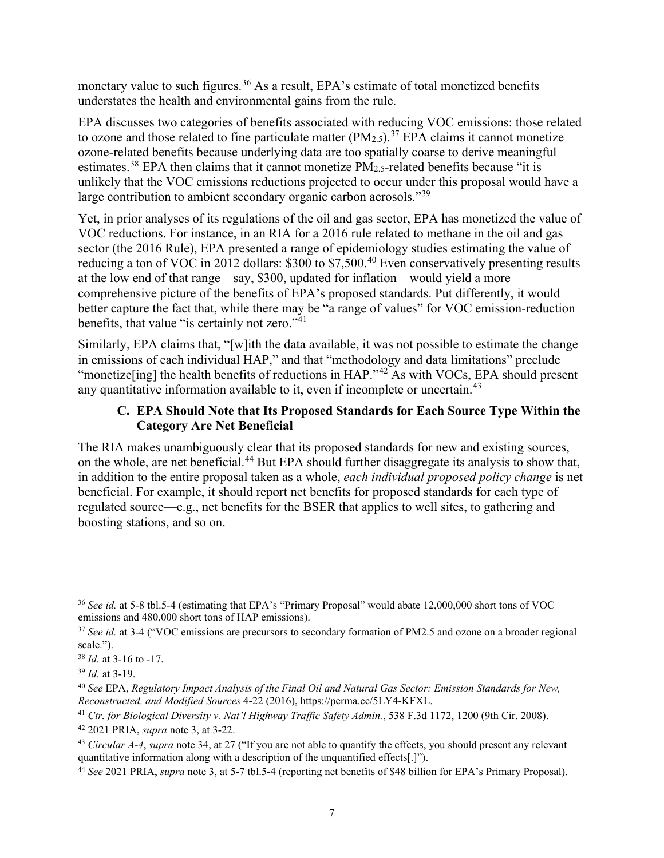monetary value to such figures.<sup>[36](#page-6-0)</sup> As a result, EPA's estimate of total monetized benefits understates the health and environmental gains from the rule.

EPA discusses two categories of benefits associated with reducing VOC emissions: those related to ozone and those related to fine particulate matter  $(PM_{2.5})$ .<sup>[37](#page-6-1)</sup> EPA claims it cannot monetize ozone-related benefits because underlying data are too spatially coarse to derive meaningful estimates.<sup>[38](#page-6-2)</sup> EPA then claims that it cannot monetize PM<sub>2.5</sub>-related benefits because "it is unlikely that the VOC emissions reductions projected to occur under this proposal would have a large contribution to ambient secondary organic carbon aerosols."<sup>[39](#page-6-3)</sup>

Yet, in prior analyses of its regulations of the oil and gas sector, EPA has monetized the value of VOC reductions. For instance, in an RIA for a 2016 rule related to methane in the oil and gas sector (the 2016 Rule), EPA presented a range of epidemiology studies estimating the value of reducing a ton of VOC in 2012 dollars: \$300 to \$7,500.<sup>[40](#page-6-4)</sup> Even conservatively presenting results at the low end of that range—say, \$300, updated for inflation—would yield a more comprehensive picture of the benefits of EPA's proposed standards. Put differently, it would better capture the fact that, while there may be "a range of values" for VOC emission-reduction benefits, that value "is certainly not zero."<sup>[41](#page-6-5)</sup>

Similarly, EPA claims that, "[w]ith the data available, it was not possible to estimate the change in emissions of each individual HAP," and that "methodology and data limitations" preclude "monetize [ing] the health benefits of reductions in HAP."<sup>[42](#page-6-6)</sup> As with VOCs, EPA should present any quantitative information available to it, even if incomplete or uncertain.<sup>[43](#page-6-7)</sup>

## **C. EPA Should Note that Its Proposed Standards for Each Source Type Within the Category Are Net Beneficial**

The RIA makes unambiguously clear that its proposed standards for new and existing sources, on the whole, are net beneficial.<sup>[44](#page-6-8)</sup> But EPA should further disaggregate its analysis to show that, in addition to the entire proposal taken as a whole, *each individual proposed policy change* is net beneficial. For example, it should report net benefits for proposed standards for each type of regulated source—e.g., net benefits for the BSER that applies to well sites, to gathering and boosting stations, and so on.

<span id="page-6-0"></span><sup>36</sup> *See id.* at 5-8 tbl.5-4 (estimating that EPA's "Primary Proposal" would abate 12,000,000 short tons of VOC emissions and 480,000 short tons of HAP emissions).

<span id="page-6-1"></span><sup>37</sup> *See id.* at 3-4 ("VOC emissions are precursors to secondary formation of PM2.5 and ozone on a broader regional scale.").

<span id="page-6-2"></span><sup>38</sup> *Id.* at 3-16 to -17.

<span id="page-6-3"></span><sup>39</sup> *Id.* at 3-19.

<span id="page-6-4"></span><sup>40</sup> *See* EPA, *Regulatory Impact Analysis of the Final Oil and Natural Gas Sector: Emission Standards for New, Reconstructed, and Modified Sources* 4-22 (2016), https://perma.cc/5LY4-KFXL.

<span id="page-6-5"></span><sup>41</sup> *Ctr. for Biological Diversity v. Nat'l Highway Traffic Safety Admin.*, 538 F.3d 1172, 1200 (9th Cir. 2008).

<span id="page-6-6"></span><sup>42</sup> 2021 PRIA, *supra* note [3,](#page-1-5) at 3-22.

<span id="page-6-7"></span><sup>43</sup> *Circular A-4*, *supra* note [34,](#page-5-6) at 27 ("If you are not able to quantify the effects, you should present any relevant quantitative information along with a description of the unquantified effects[.]").

<span id="page-6-8"></span><sup>44</sup> *See* 2021 PRIA, *supra* not[e 3,](#page-1-5) at 5-7 tbl.5-4 (reporting net benefits of \$48 billion for EPA's Primary Proposal).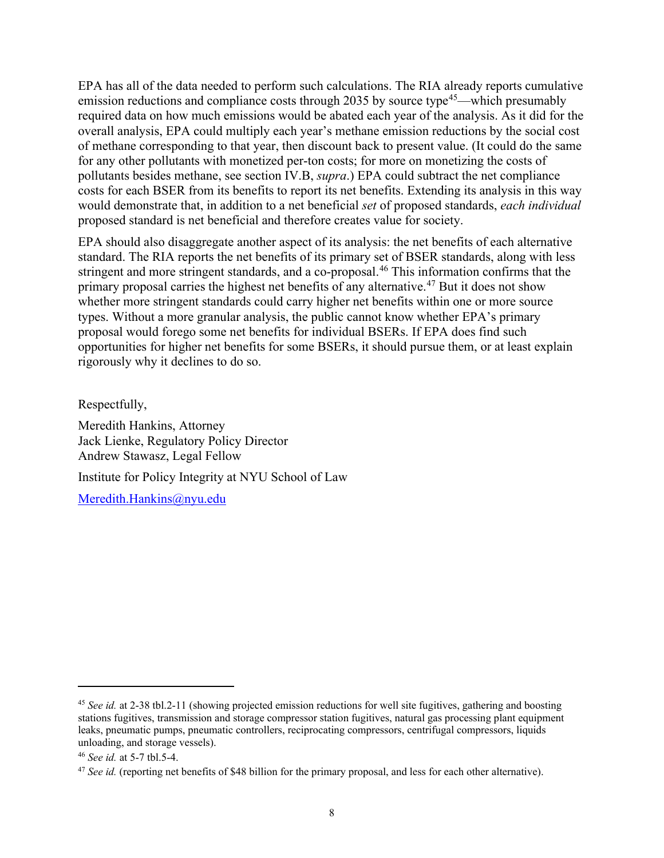EPA has all of the data needed to perform such calculations. The RIA already reports cumulative emission reductions and compliance costs through 2035 by source type<sup>[45](#page-7-0)</sup>—which presumably required data on how much emissions would be abated each year of the analysis. As it did for the overall analysis, EPA could multiply each year's methane emission reductions by the social cost of methane corresponding to that year, then discount back to present value. (It could do the same for any other pollutants with monetized per-ton costs; for more on monetizing the costs of pollutants besides methane, see section IV.B, *supra*.) EPA could subtract the net compliance costs for each BSER from its benefits to report its net benefits. Extending its analysis in this way would demonstrate that, in addition to a net beneficial *set* of proposed standards, *each individual* proposed standard is net beneficial and therefore creates value for society.

EPA should also disaggregate another aspect of its analysis: the net benefits of each alternative standard. The RIA reports the net benefits of its primary set of BSER standards, along with less stringent and more stringent standards, and a co-proposal.<sup>[46](#page-7-1)</sup> This information confirms that the primary proposal carries the highest net benefits of any alternative.<sup>[47](#page-7-2)</sup> But it does not show whether more stringent standards could carry higher net benefits within one or more source types. Without a more granular analysis, the public cannot know whether EPA's primary proposal would forego some net benefits for individual BSERs. If EPA does find such opportunities for higher net benefits for some BSERs, it should pursue them, or at least explain rigorously why it declines to do so.

Respectfully,

Meredith Hankins, Attorney Jack Lienke, Regulatory Policy Director Andrew Stawasz, Legal Fellow

Institute for Policy Integrity at NYU School of Law

[Meredith.Hankins@nyu.edu](mailto:Meredith.Hankins@nyu.edu)

<span id="page-7-0"></span><sup>45</sup> *See id.* at 2-38 tbl.2-11 (showing projected emission reductions for well site fugitives, gathering and boosting stations fugitives, transmission and storage compressor station fugitives, natural gas processing plant equipment leaks, pneumatic pumps, pneumatic controllers, reciprocating compressors, centrifugal compressors, liquids unloading, and storage vessels).

<span id="page-7-1"></span><sup>46</sup> *See id.* at 5-7 tbl.5-4.

<span id="page-7-2"></span><sup>47</sup> *See id.* (reporting net benefits of \$48 billion for the primary proposal, and less for each other alternative).